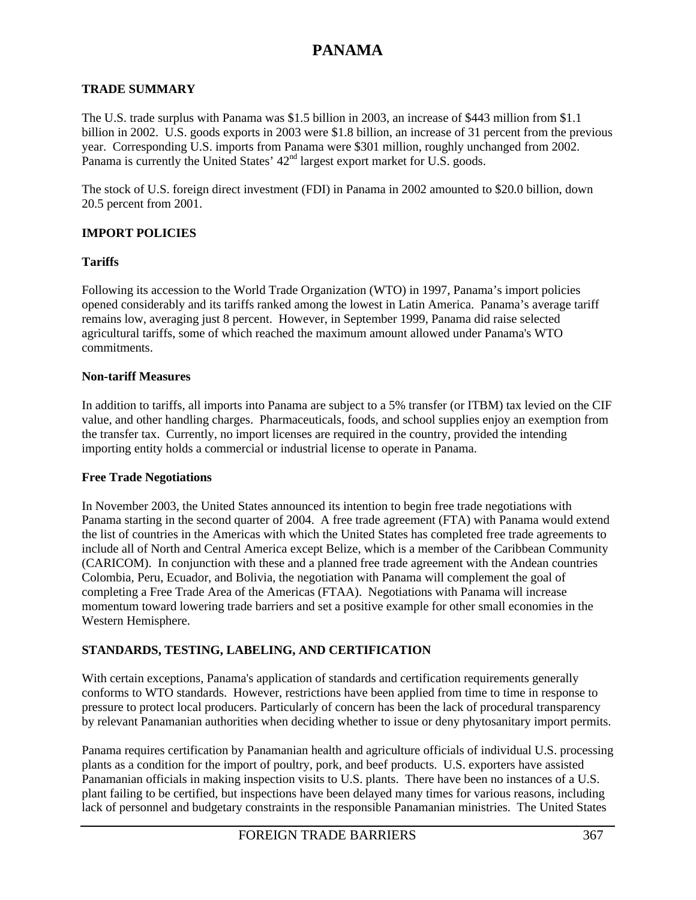#### **TRADE SUMMARY**

The U.S. trade surplus with Panama was \$1.5 billion in 2003, an increase of \$443 million from \$1.1 billion in 2002. U.S. goods exports in 2003 were \$1.8 billion, an increase of 31 percent from the previous year. Corresponding U.S. imports from Panama were \$301 million, roughly unchanged from 2002. Panama is currently the United States' 42<sup>nd</sup> largest export market for U.S. goods.

The stock of U.S. foreign direct investment (FDI) in Panama in 2002 amounted to \$20.0 billion, down 20.5 percent from 2001.

### **IMPORT POLICIES**

#### **Tariffs**

Following its accession to the World Trade Organization (WTO) in 1997, Panama's import policies opened considerably and its tariffs ranked among the lowest in Latin America. Panama's average tariff remains low, averaging just 8 percent. However, in September 1999, Panama did raise selected agricultural tariffs, some of which reached the maximum amount allowed under Panama's WTO commitments.

#### **Non-tariff Measures**

In addition to tariffs, all imports into Panama are subject to a 5% transfer (or ITBM) tax levied on the CIF value, and other handling charges. Pharmaceuticals, foods, and school supplies enjoy an exemption from the transfer tax. Currently, no import licenses are required in the country, provided the intending importing entity holds a commercial or industrial license to operate in Panama.

#### **Free Trade Negotiations**

In November 2003, the United States announced its intention to begin free trade negotiations with Panama starting in the second quarter of 2004. A free trade agreement (FTA) with Panama would extend the list of countries in the Americas with which the United States has completed free trade agreements to include all of North and Central America except Belize, which is a member of the Caribbean Community (CARICOM). In conjunction with these and a planned free trade agreement with the Andean countries Colombia, Peru, Ecuador, and Bolivia, the negotiation with Panama will complement the goal of completing a Free Trade Area of the Americas (FTAA). Negotiations with Panama will increase momentum toward lowering trade barriers and set a positive example for other small economies in the Western Hemisphere.

### **STANDARDS, TESTING, LABELING, AND CERTIFICATION**

With certain exceptions, Panama's application of standards and certification requirements generally conforms to WTO standards. However, restrictions have been applied from time to time in response to pressure to protect local producers. Particularly of concern has been the lack of procedural transparency by relevant Panamanian authorities when deciding whether to issue or deny phytosanitary import permits.

Panama requires certification by Panamanian health and agriculture officials of individual U.S. processing plants as a condition for the import of poultry, pork, and beef products. U.S. exporters have assisted Panamanian officials in making inspection visits to U.S. plants. There have been no instances of a U.S. plant failing to be certified, but inspections have been delayed many times for various reasons, including lack of personnel and budgetary constraints in the responsible Panamanian ministries. The United States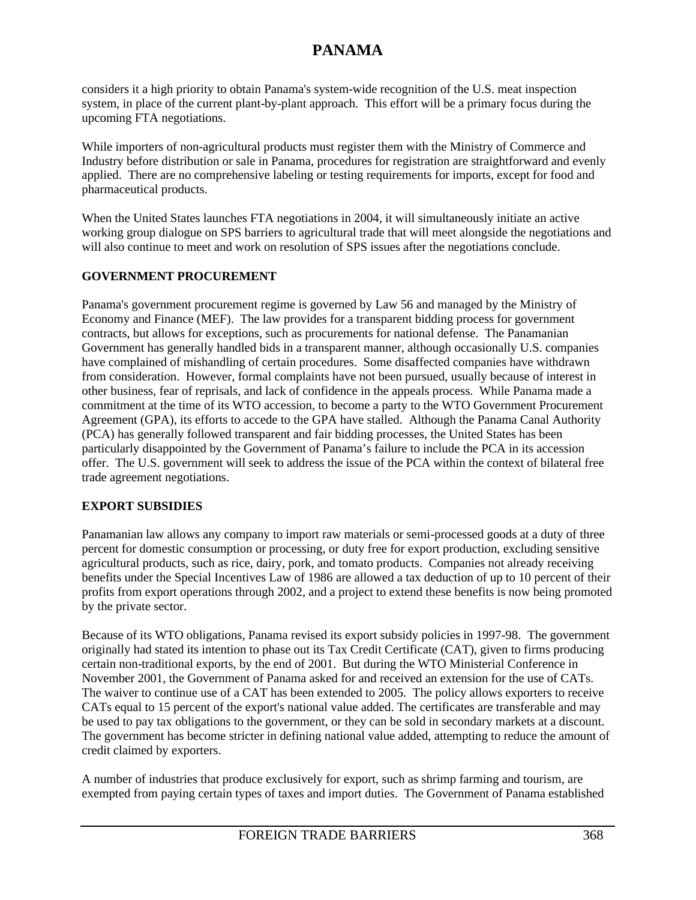considers it a high priority to obtain Panama's system-wide recognition of the U.S. meat inspection system, in place of the current plant-by-plant approach. This effort will be a primary focus during the upcoming FTA negotiations.

While importers of non-agricultural products must register them with the Ministry of Commerce and Industry before distribution or sale in Panama, procedures for registration are straightforward and evenly applied. There are no comprehensive labeling or testing requirements for imports, except for food and pharmaceutical products.

When the United States launches FTA negotiations in 2004, it will simultaneously initiate an active working group dialogue on SPS barriers to agricultural trade that will meet alongside the negotiations and will also continue to meet and work on resolution of SPS issues after the negotiations conclude.

### **GOVERNMENT PROCUREMENT**

Panama's government procurement regime is governed by Law 56 and managed by the Ministry of Economy and Finance (MEF). The law provides for a transparent bidding process for government contracts, but allows for exceptions, such as procurements for national defense. The Panamanian Government has generally handled bids in a transparent manner, although occasionally U.S. companies have complained of mishandling of certain procedures. Some disaffected companies have withdrawn from consideration. However, formal complaints have not been pursued, usually because of interest in other business, fear of reprisals, and lack of confidence in the appeals process. While Panama made a commitment at the time of its WTO accession, to become a party to the WTO Government Procurement Agreement (GPA), its efforts to accede to the GPA have stalled. Although the Panama Canal Authority (PCA) has generally followed transparent and fair bidding processes, the United States has been particularly disappointed by the Government of Panama's failure to include the PCA in its accession offer. The U.S. government will seek to address the issue of the PCA within the context of bilateral free trade agreement negotiations.

### **EXPORT SUBSIDIES**

Panamanian law allows any company to import raw materials or semi-processed goods at a duty of three percent for domestic consumption or processing, or duty free for export production, excluding sensitive agricultural products, such as rice, dairy, pork, and tomato products. Companies not already receiving benefits under the Special Incentives Law of 1986 are allowed a tax deduction of up to 10 percent of their profits from export operations through 2002, and a project to extend these benefits is now being promoted by the private sector.

Because of its WTO obligations, Panama revised its export subsidy policies in 1997-98. The government originally had stated its intention to phase out its Tax Credit Certificate (CAT), given to firms producing certain non-traditional exports, by the end of 2001. But during the WTO Ministerial Conference in November 2001, the Government of Panama asked for and received an extension for the use of CATs. The waiver to continue use of a CAT has been extended to 2005. The policy allows exporters to receive CATs equal to 15 percent of the export's national value added. The certificates are transferable and may be used to pay tax obligations to the government, or they can be sold in secondary markets at a discount. The government has become stricter in defining national value added, attempting to reduce the amount of credit claimed by exporters.

A number of industries that produce exclusively for export, such as shrimp farming and tourism, are exempted from paying certain types of taxes and import duties. The Government of Panama established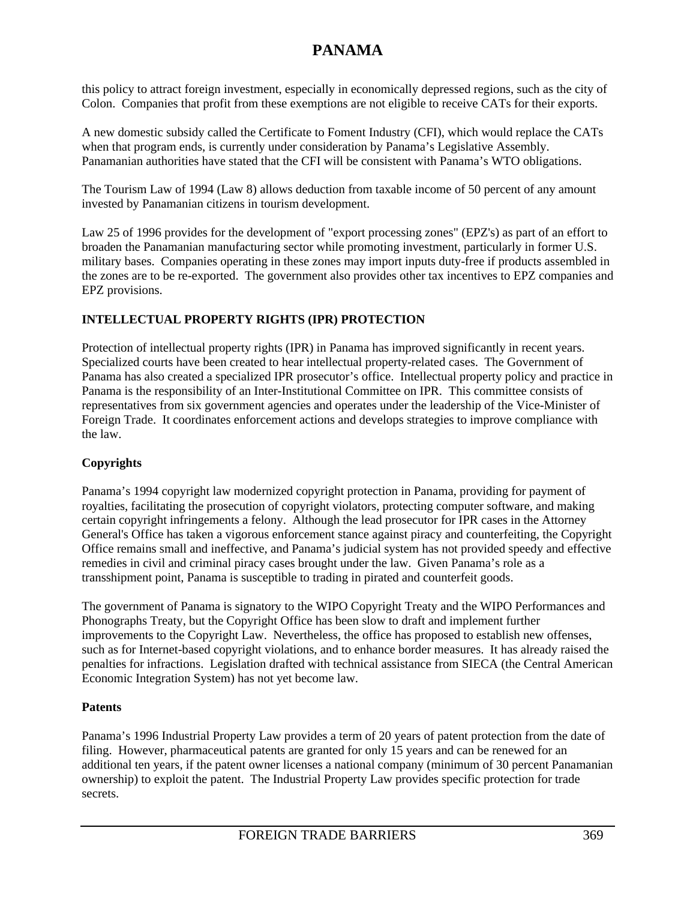this policy to attract foreign investment, especially in economically depressed regions, such as the city of Colon. Companies that profit from these exemptions are not eligible to receive CATs for their exports.

A new domestic subsidy called the Certificate to Foment Industry (CFI), which would replace the CATs when that program ends, is currently under consideration by Panama's Legislative Assembly. Panamanian authorities have stated that the CFI will be consistent with Panama's WTO obligations.

The Tourism Law of 1994 (Law 8) allows deduction from taxable income of 50 percent of any amount invested by Panamanian citizens in tourism development.

Law 25 of 1996 provides for the development of "export processing zones" (EPZ's) as part of an effort to broaden the Panamanian manufacturing sector while promoting investment, particularly in former U.S. military bases. Companies operating in these zones may import inputs duty-free if products assembled in the zones are to be re-exported. The government also provides other tax incentives to EPZ companies and EPZ provisions.

# **INTELLECTUAL PROPERTY RIGHTS (IPR) PROTECTION**

Protection of intellectual property rights (IPR) in Panama has improved significantly in recent years. Specialized courts have been created to hear intellectual property-related cases. The Government of Panama has also created a specialized IPR prosecutor's office. Intellectual property policy and practice in Panama is the responsibility of an Inter-Institutional Committee on IPR. This committee consists of representatives from six government agencies and operates under the leadership of the Vice-Minister of Foreign Trade. It coordinates enforcement actions and develops strategies to improve compliance with the law.

# **Copyrights**

Panama's 1994 copyright law modernized copyright protection in Panama, providing for payment of royalties, facilitating the prosecution of copyright violators, protecting computer software, and making certain copyright infringements a felony. Although the lead prosecutor for IPR cases in the Attorney General's Office has taken a vigorous enforcement stance against piracy and counterfeiting, the Copyright Office remains small and ineffective, and Panama's judicial system has not provided speedy and effective remedies in civil and criminal piracy cases brought under the law. Given Panama's role as a transshipment point, Panama is susceptible to trading in pirated and counterfeit goods.

The government of Panama is signatory to the WIPO Copyright Treaty and the WIPO Performances and Phonographs Treaty, but the Copyright Office has been slow to draft and implement further improvements to the Copyright Law. Nevertheless, the office has proposed to establish new offenses, such as for Internet-based copyright violations, and to enhance border measures. It has already raised the penalties for infractions. Legislation drafted with technical assistance from SIECA (the Central American Economic Integration System) has not yet become law.

# **Patents**

Panama's 1996 Industrial Property Law provides a term of 20 years of patent protection from the date of filing. However, pharmaceutical patents are granted for only 15 years and can be renewed for an additional ten years, if the patent owner licenses a national company (minimum of 30 percent Panamanian ownership) to exploit the patent. The Industrial Property Law provides specific protection for trade secrets.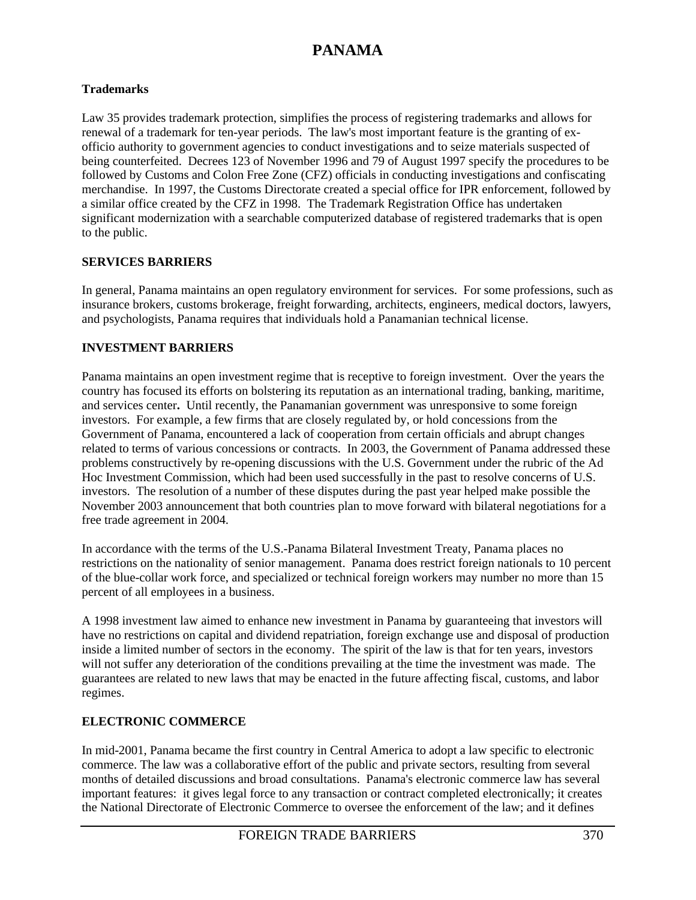### **Trademarks**

Law 35 provides trademark protection, simplifies the process of registering trademarks and allows for renewal of a trademark for ten-year periods. The law's most important feature is the granting of exofficio authority to government agencies to conduct investigations and to seize materials suspected of being counterfeited. Decrees 123 of November 1996 and 79 of August 1997 specify the procedures to be followed by Customs and Colon Free Zone (CFZ) officials in conducting investigations and confiscating merchandise. In 1997, the Customs Directorate created a special office for IPR enforcement, followed by a similar office created by the CFZ in 1998. The Trademark Registration Office has undertaken significant modernization with a searchable computerized database of registered trademarks that is open to the public.

### **SERVICES BARRIERS**

In general, Panama maintains an open regulatory environment for services. For some professions, such as insurance brokers, customs brokerage, freight forwarding, architects, engineers, medical doctors, lawyers, and psychologists, Panama requires that individuals hold a Panamanian technical license.

# **INVESTMENT BARRIERS**

Panama maintains an open investment regime that is receptive to foreign investment. Over the years the country has focused its efforts on bolstering its reputation as an international trading, banking, maritime, and services center**.** Until recently, the Panamanian government was unresponsive to some foreign investors. For example, a few firms that are closely regulated by, or hold concessions from the Government of Panama, encountered a lack of cooperation from certain officials and abrupt changes related to terms of various concessions or contracts. In 2003, the Government of Panama addressed these problems constructively by re-opening discussions with the U.S. Government under the rubric of the Ad Hoc Investment Commission, which had been used successfully in the past to resolve concerns of U.S. investors. The resolution of a number of these disputes during the past year helped make possible the November 2003 announcement that both countries plan to move forward with bilateral negotiations for a free trade agreement in 2004.

In accordance with the terms of the U.S.-Panama Bilateral Investment Treaty, Panama places no restrictions on the nationality of senior management. Panama does restrict foreign nationals to 10 percent of the blue-collar work force, and specialized or technical foreign workers may number no more than 15 percent of all employees in a business.

A 1998 investment law aimed to enhance new investment in Panama by guaranteeing that investors will have no restrictions on capital and dividend repatriation, foreign exchange use and disposal of production inside a limited number of sectors in the economy. The spirit of the law is that for ten years, investors will not suffer any deterioration of the conditions prevailing at the time the investment was made. The guarantees are related to new laws that may be enacted in the future affecting fiscal, customs, and labor regimes.

# **ELECTRONIC COMMERCE**

In mid-2001, Panama became the first country in Central America to adopt a law specific to electronic commerce. The law was a collaborative effort of the public and private sectors, resulting from several months of detailed discussions and broad consultations. Panama's electronic commerce law has several important features: it gives legal force to any transaction or contract completed electronically; it creates the National Directorate of Electronic Commerce to oversee the enforcement of the law; and it defines